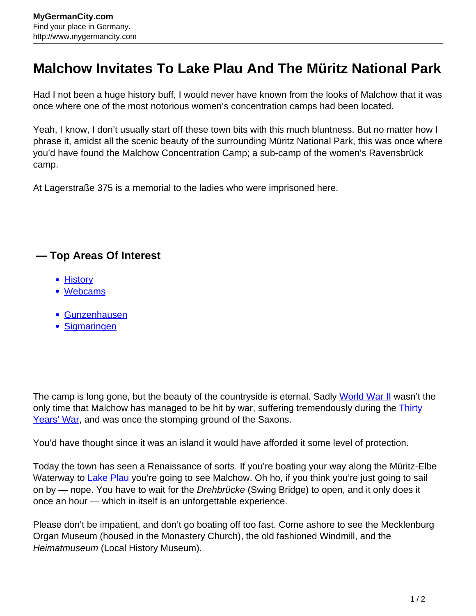## **Malchow Invitates To Lake Plau And The Müritz National Park**

Had I not been a huge history buff, I would never have known from the looks of Malchow that it was once where one of the most notorious women's concentration camps had been located.

Yeah, I know, I don't usually start off these town bits with this much bluntness. But no matter how I phrase it, amidst all the scenic beauty of the surrounding Müritz National Park, this was once where you'd have found the Malchow Concentration Camp; a sub-camp of the women's Ravensbrück camp.

At Lagerstraße 375 is a memorial to the ladies who were imprisoned here.

## **— Top Areas Of Interest**

- [History](http://www.mygermancity.com/leipzig-history)
- [Webcams](http://www.mygermancity.com/neustadt-holstein-webcams)
- [Gunzenhausen](http://www.mygermancity.com/gunzenhausen)
- [Sigmaringen](http://www.mygermancity.com/sigmaringen)

The camp is long gone, but the beauty of the countryside is eternal. Sadly [World War II](http://www.mygermancity.com/world-war-ii) wasn't the only time that Malchow has managed to be hit by war, suffering tremendously during the [Thirty](http://www.mygermancity.com/thirty-years-war) [Years' War,](http://www.mygermancity.com/thirty-years-war) and was once the stomping ground of the Saxons.

You'd have thought since it was an island it would have afforded it some level of protection.

Today the town has seen a Renaissance of sorts. If you're boating your way along the Müritz-Elbe Waterway to [Lake Plau](http://www.mygermancity.com/lake-plau) you're going to see Malchow. Oh ho, if you think you're just going to sail on by — nope. You have to wait for the *Drehbrücke* (Swing Bridge) to open, and it only does it once an hour — which in itself is an unforgettable experience.

Please don't be impatient, and don't go boating off too fast. Come ashore to see the Mecklenburg Organ Museum (housed in the Monastery Church), the old fashioned Windmill, and the Heimatmuseum (Local History Museum).